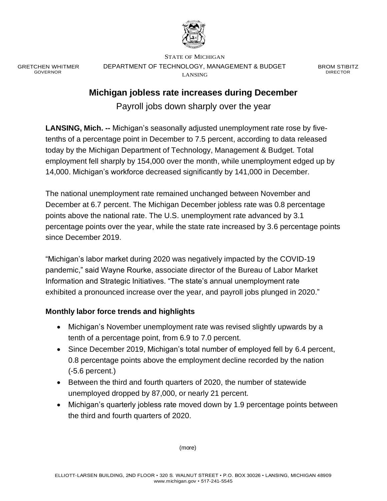

GRETCHEN WHITMER GOVERNOR

STATE OF MICHIGAN DEPARTMENT OF TECHNOLOGY, MANAGEMENT & BUDGET LANSING

BROM STIBITZ DIRECTOR

# **Michigan jobless rate increases during December**

Payroll jobs down sharply over the year

**LANSING, Mich. --** Michigan's seasonally adjusted unemployment rate rose by fivetenths of a percentage point in December to 7.5 percent, according to data released today by the Michigan Department of Technology, Management & Budget. Total employment fell sharply by 154,000 over the month, while unemployment edged up by 14,000. Michigan's workforce decreased significantly by 141,000 in December.

The national unemployment rate remained unchanged between November and December at 6.7 percent. The Michigan December jobless rate was 0.8 percentage points above the national rate. The U.S. unemployment rate advanced by 3.1 percentage points over the year, while the state rate increased by 3.6 percentage points since December 2019.

"Michigan's labor market during 2020 was negatively impacted by the COVID-19 pandemic," said Wayne Rourke, associate director of the Bureau of Labor Market Information and Strategic Initiatives. "The state's annual unemployment rate exhibited a pronounced increase over the year, and payroll jobs plunged in 2020."

## **Monthly labor force trends and highlights**

- Michigan's November unemployment rate was revised slightly upwards by a tenth of a percentage point, from 6.9 to 7.0 percent.
- Since December 2019, Michigan's total number of employed fell by 6.4 percent, 0.8 percentage points above the employment decline recorded by the nation (-5.6 percent.)
- Between the third and fourth quarters of 2020, the number of statewide unemployed dropped by 87,000, or nearly 21 percent.
- Michigan's quarterly jobless rate moved down by 1.9 percentage points between the third and fourth quarters of 2020.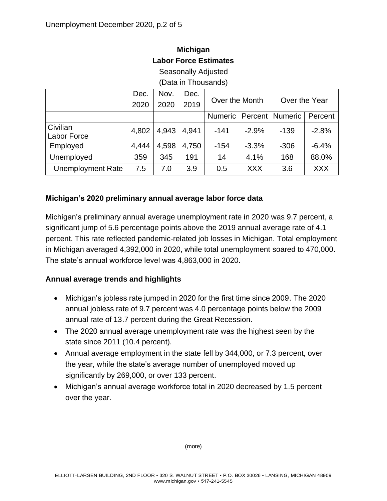| <b>Michigan</b>              |  |  |  |  |  |  |
|------------------------------|--|--|--|--|--|--|
| <b>Labor Force Estimates</b> |  |  |  |  |  |  |

Seasonally Adjusted

(Data in Thousands)

|                          | Dec.  | Nov.  | Dec.  | Over the Month |            | Over the Year     |            |
|--------------------------|-------|-------|-------|----------------|------------|-------------------|------------|
|                          | 2020  | 2020  | 2019  |                |            |                   |            |
|                          |       |       |       | <b>Numeric</b> |            | Percent   Numeric | Percent    |
| Civilian                 | 4,802 | 4,943 | 4,941 | $-141$         | $-2.9%$    | $-139$            | $-2.8%$    |
| <b>Labor Force</b>       |       |       |       |                |            |                   |            |
| Employed                 | 4,444 | 4,598 | 4,750 | $-154$         | $-3.3%$    | $-306$            | $-6.4%$    |
| Unemployed               | 359   | 345   | 191   | 14             | 4.1%       | 168               | 88.0%      |
| <b>Unemployment Rate</b> | 7.5   | 7.0   | 3.9   | 0.5            | <b>XXX</b> | 3.6               | <b>XXX</b> |

#### **Michigan's 2020 preliminary annual average labor force data**

Michigan's preliminary annual average unemployment rate in 2020 was 9.7 percent, a significant jump of 5.6 percentage points above the 2019 annual average rate of 4.1 percent. This rate reflected pandemic-related job losses in Michigan. Total employment in Michigan averaged 4,392,000 in 2020, while total unemployment soared to 470,000. The state's annual workforce level was 4,863,000 in 2020.

#### **Annual average trends and highlights**

- Michigan's jobless rate jumped in 2020 for the first time since 2009. The 2020 annual jobless rate of 9.7 percent was 4.0 percentage points below the 2009 annual rate of 13.7 percent during the Great Recession.
- The 2020 annual average unemployment rate was the highest seen by the state since 2011 (10.4 percent).
- Annual average employment in the state fell by 344,000, or 7.3 percent, over the year, while the state's average number of unemployed moved up significantly by 269,000, or over 133 percent.
- Michigan's annual average workforce total in 2020 decreased by 1.5 percent over the year.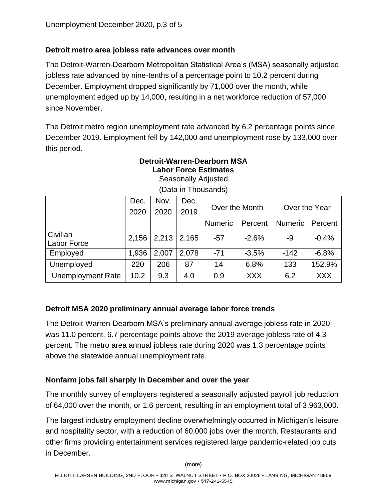### **Detroit metro area jobless rate advances over month**

The Detroit-Warren-Dearborn Metropolitan Statistical Area's (MSA) seasonally adjusted jobless rate advanced by nine-tenths of a percentage point to 10.2 percent during December. Employment dropped significantly by 71,000 over the month, while unemployment edged up by 14,000, resulting in a net workforce reduction of 57,000 since November.

The Detroit metro region unemployment rate advanced by 6.2 percentage points since December 2019. Employment fell by 142,000 and unemployment rose by 133,000 over this period.

## **Detroit-Warren-Dearborn MSA Labor Force Estimates**

| <b>Seasonally Adjusted</b> |  |
|----------------------------|--|
| (Data in Thousands)        |  |

|                                | Dec.<br>2020 | Nov.<br>2020 | Dec.<br>2019 | Over the Month |            | Over the Year  |            |
|--------------------------------|--------------|--------------|--------------|----------------|------------|----------------|------------|
|                                |              |              |              | <b>Numeric</b> | Percent    | <b>Numeric</b> | Percent    |
| Civilian<br><b>Labor Force</b> | 2,156        | 2,213        | 2,165        | $-57$          | $-2.6%$    | -9             | $-0.4%$    |
| Employed                       | 1,936        | 2,007        | 2,078        | $-71$          | $-3.5%$    | $-142$         | $-6.8%$    |
| Unemployed                     | 220          | 206          | 87           | 14             | 6.8%       | 133            | 152.9%     |
| <b>Unemployment Rate</b>       | 10.2         | 9.3          | 4.0          | 0.9            | <b>XXX</b> | 6.2            | <b>XXX</b> |

#### **Detroit MSA 2020 preliminary annual average labor force trends**

The Detroit-Warren-Dearborn MSA's preliminary annual average jobless rate in 2020 was 11.0 percent, 6.7 percentage points above the 2019 average jobless rate of 4.3 percent. The metro area annual jobless rate during 2020 was 1.3 percentage points above the statewide annual unemployment rate.

#### **Nonfarm jobs fall sharply in December and over the year**

The monthly survey of employers registered a seasonally adjusted payroll job reduction of 64,000 over the month, or 1.6 percent, resulting in an employment total of 3,963,000.

The largest industry employment decline overwhelmingly occurred in Michigan's leisure and hospitality sector, with a reduction of 60,000 jobs over the month. Restaurants and other firms providing entertainment services registered large pandemic-related job cuts in December.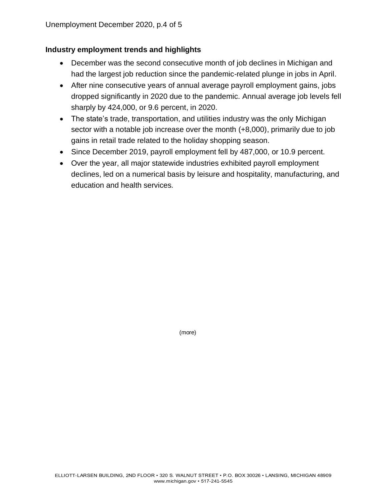#### **Industry employment trends and highlights**

- December was the second consecutive month of job declines in Michigan and had the largest job reduction since the pandemic-related plunge in jobs in April.
- After nine consecutive years of annual average payroll employment gains, jobs dropped significantly in 2020 due to the pandemic. Annual average job levels fell sharply by 424,000, or 9.6 percent, in 2020.
- The state's trade, transportation, and utilities industry was the only Michigan sector with a notable job increase over the month (+8,000), primarily due to job gains in retail trade related to the holiday shopping season.
- Since December 2019, payroll employment fell by 487,000, or 10.9 percent.
- Over the year, all major statewide industries exhibited payroll employment declines, led on a numerical basis by leisure and hospitality, manufacturing, and education and health services*.*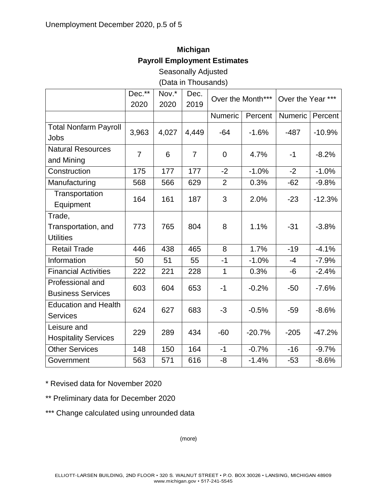# **Michigan Payroll Employment Estimates**

Seasonally Adjusted

(Data in Thousands)

|                                                   | Dec.**         | Nov.* | Dec.           |                | Over the Month*** |         | Over the Year *** |  |
|---------------------------------------------------|----------------|-------|----------------|----------------|-------------------|---------|-------------------|--|
|                                                   | 2020           | 2020  | 2019           |                |                   |         |                   |  |
|                                                   |                |       |                | <b>Numeric</b> | Percent           | Numeric | Percent           |  |
| <b>Total Nonfarm Payroll</b><br>Jobs              | 3,963          | 4,027 | 4,449          | $-64$          | $-1.6%$           | $-487$  | $-10.9%$          |  |
| <b>Natural Resources</b><br>and Mining            | $\overline{7}$ | 6     | $\overline{7}$ | $\mathbf 0$    | 4.7%              | $-1$    | $-8.2%$           |  |
| Construction                                      | 175            | 177   | 177            | $-2$           | $-1.0%$           | $-2$    | $-1.0%$           |  |
| Manufacturing                                     | 568            | 566   | 629            | $\overline{2}$ | 0.3%              | $-62$   | $-9.8%$           |  |
| Transportation<br>Equipment                       | 164            | 161   | 187            | 3              | 2.0%              | $-23$   | $-12.3%$          |  |
| Trade,<br>Transportation, and<br><b>Utilities</b> | 773            | 765   | 804            | 8              | 1.1%              | $-31$   | $-3.8%$           |  |
| <b>Retail Trade</b>                               | 446            | 438   | 465            | 8              | 1.7%              | $-19$   | $-4.1%$           |  |
| Information                                       | 50             | 51    | 55             | $-1$           | $-1.0%$           | $-4$    | $-7.9%$           |  |
| <b>Financial Activities</b>                       | 222            | 221   | 228            | $\mathbf{1}$   | 0.3%              | -6      | $-2.4%$           |  |
| Professional and<br><b>Business Services</b>      | 603            | 604   | 653            | $-1$           | $-0.2%$           | $-50$   | $-7.6%$           |  |
| <b>Education and Health</b><br><b>Services</b>    | 624            | 627   | 683            | $-3$           | $-0.5%$           | $-59$   | $-8.6%$           |  |
| Leisure and<br><b>Hospitality Services</b>        | 229            | 289   | 434            | $-60$          | $-20.7%$          | $-205$  | $-47.2%$          |  |
| <b>Other Services</b>                             | 148            | 150   | 164            | $-1$           | $-0.7%$           | $-16$   | $-9.7%$           |  |
| Government                                        | 563            | 571   | 616            | -8             | $-1.4%$           | $-53$   | $-8.6%$           |  |

\* Revised data for November 2020

\*\* Preliminary data for December 2020

\*\*\* Change calculated using unrounded data